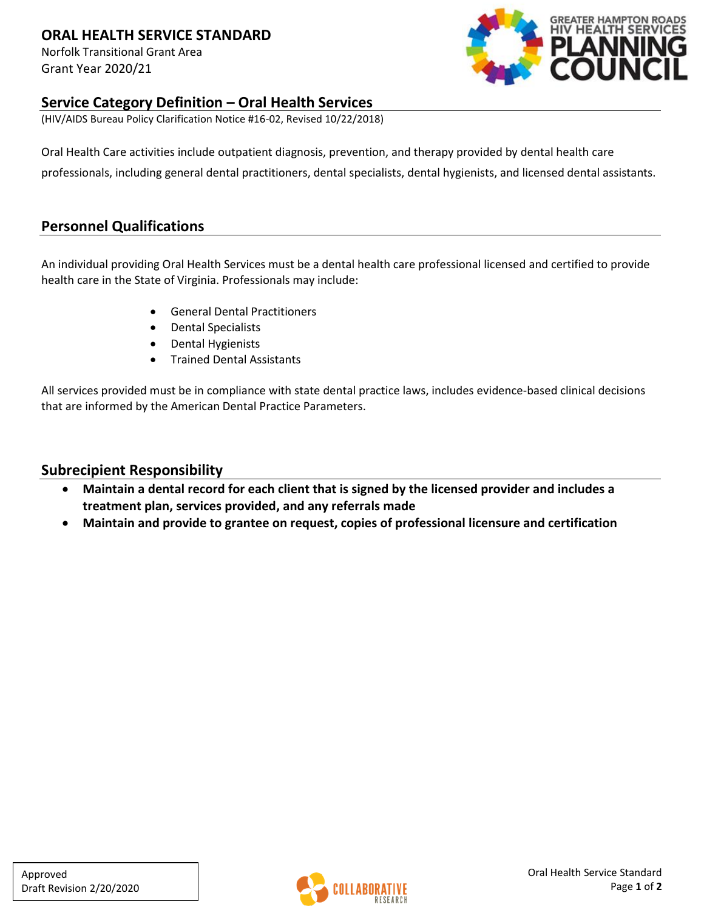### **ORAL HEALTH SERVICE STANDARD**

Norfolk Transitional Grant Area Grant Year 2020/21



### **Service Category Definition – Oral Health Services**

(HIV/AIDS Bureau Policy Clarification Notice #16-02, Revised 10/22/2018)

Oral Health Care activities include outpatient diagnosis, prevention, and therapy provided by dental health care professionals, including general dental practitioners, dental specialists, dental hygienists, and licensed dental assistants.

### **Personnel Qualifications**

An individual providing Oral Health Services must be a dental health care professional licensed and certified to provide health care in the State of Virginia. Professionals may include:

- General Dental Practitioners
- Dental Specialists
- Dental Hygienists
- Trained Dental Assistants

All services provided must be in compliance with state dental practice laws, includes evidence-based clinical decisions that are informed by the American Dental Practice Parameters.

### **Subrecipient Responsibility**

- **Maintain a dental record for each client that is signed by the licensed provider and includes a treatment plan, services provided, and any referrals made**
- **Maintain and provide to grantee on request, copies of professional licensure and certification**